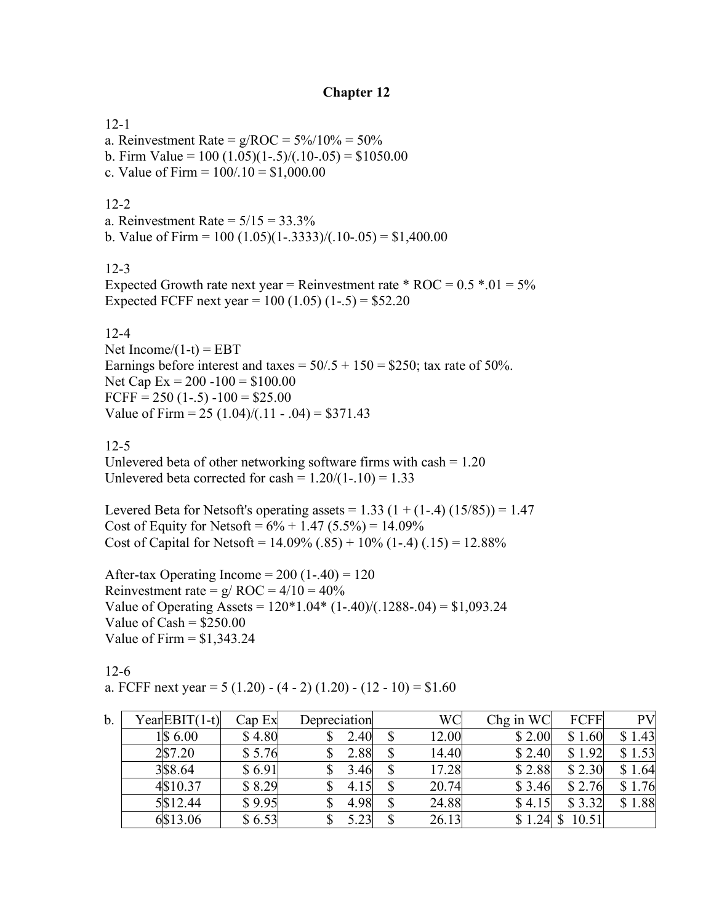## **Chapter 12**

12-1

a. Reinvestment Rate =  $g/ROC = 5\%/10\% = 50\%$ 

- b. Firm Value =  $100 (1.05)(1-.5)/(1.0-.05) = $1050.00$
- c. Value of Firm =  $100/0.10 = $1,000.00$

## $12-2$

a. Reinvestment Rate  $= 5/15 = 33.3\%$ 

b. Value of Firm =  $100 (1.05)(1-.3333)/(0.10-.05) = $1,400.00$ 

# 12-3

Expected Growth rate next year = Reinvestment rate  $*$  ROC = 0.5  $*$ .01 = 5% Expected FCFF next year =  $100 (1.05) (1-.5) = $52.20$ 

#### 12-4

Net Income/ $(1-t)$  = EBT Earnings before interest and taxes =  $50/.5 + 150 = $250$ ; tax rate of 50%. Net Cap  $Ex = 200 - 100 = $100.00$ FCFF =  $250(1-5) - 100 = $25.00$ Value of Firm =  $25 (1.04)/(11 - 0.04) = $371.43$ 

## 12-5

Unlevered beta of other networking software firms with  $cash = 1.20$ Unlevered beta corrected for cash =  $1.20/(1-.10) = 1.33$ 

Levered Beta for Netsoft's operating assets =  $1.33$  (1 + (1-.4) (15/85)) = 1.47 Cost of Equity for Netsoft =  $6\% + 1.47$  (5.5%) = 14.09% Cost of Capital for Netsoft =  $14.09\%$  (.85) +  $10\%$  (1-.4) (.15) = 12.88%

After-tax Operating Income =  $200(1-.40) = 120$ Reinvestment rate =  $g/ROC = 4/10 = 40%$ Value of Operating Assets =  $120*1.04*(1-.40)/(0.1288-.04) = $1,093.24$ Value of  $Cash = $250.00$ Value of Firm  $=$  \$1,343.24

12-6 a. FCFF next year =  $5(1.20) - (4 - 2)(1.20) - (12 - 10) = $1.60$ 

| b. | Year EBIT(1-t) | Cap Ex | Depreciation | WC    | Chg in WC | FCFF   | <b>PV</b> |
|----|----------------|--------|--------------|-------|-----------|--------|-----------|
|    | 1\\$ 6.00      | \$4.80 | 2.40         | 12.00 | \$2.00    | \$1.60 | \$1.43    |
|    | 2\\$7.20       | \$5.76 | 2.88         | 14.40 | \$2.40    | \$1.92 | \$1.53    |
|    | 3\$8.64        | \$6.91 | 3.46         | 17.28 | \$2.88    | \$2.30 | \$1.64    |
|    | 4\\$10.37      | \$8.29 | 4.15         | 20.74 | \$ 3.46   | \$2.76 | 1.76      |
|    | 5\$12.44       | \$9.95 | 4.98         | 24.88 | \$4.15    | \$3.32 | 1.88      |
|    | 6\$13.06       | \$6.53 | 5.23         | 26.13 | \$1       | 10.51  |           |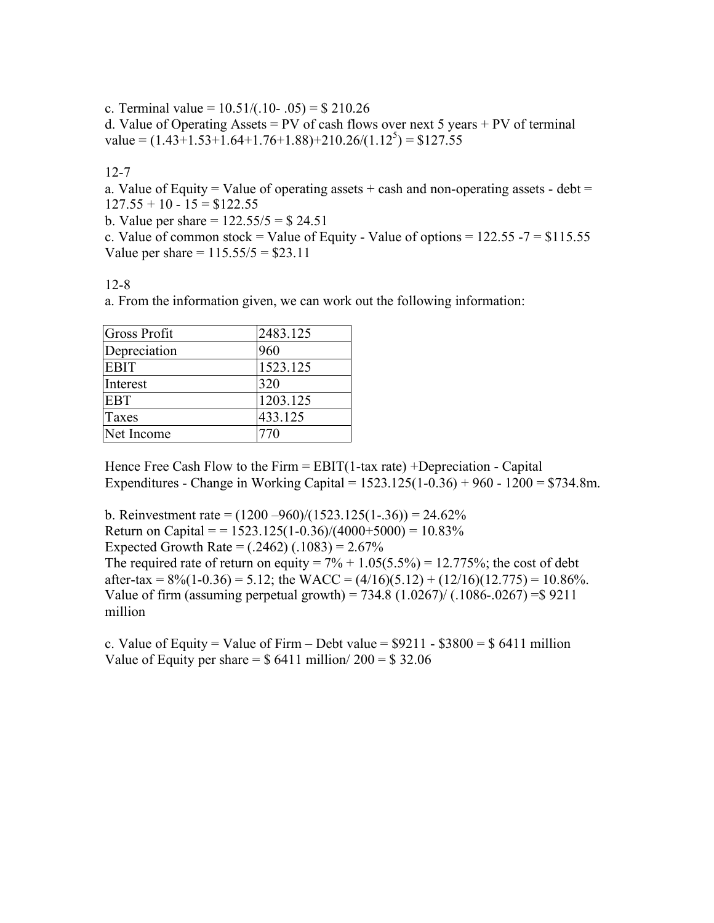c. Terminal value =  $10.51/(0.10 - 0.05) = $210.26$ 

d. Value of Operating Assets = PV of cash flows over next 5 years + PV of terminal value =  $(1.43 + 1.53 + 1.64 + 1.76 + 1.88) + 210.26/(1.12^5) = $127.55$ 

12-7

a. Value of Equity = Value of operating assets  $+$  cash and non-operating assets - debt =  $127.55 + 10 - 15 = $122.55$ 

b. Value per share  $= 122.55/5 = $24.51$ 

c. Value of common stock = Value of Equity - Value of options =  $122.55 - 7 = $115.55$ Value per share  $= 115.55/5 = $23.11$ 

12-8

a. From the information given, we can work out the following information:

| Gross Profit | 2483.125 |
|--------------|----------|
| Depreciation | 960      |
| <b>EBIT</b>  | 1523.125 |
| Interest     | 320      |
| <b>EBT</b>   | 1203.125 |
| Taxes        | 433.125  |
| Net Income   | 770      |

Hence Free Cash Flow to the Firm  $=$  EBIT(1-tax rate) +Depreciation - Capital Expenditures - Change in Working Capital = 1523.125(1-0.36) + 960 - 1200 = \$734.8m.

b. Reinvestment rate =  $(1200 - 960)/(1523.125(1-.36)) = 24.62\%$ Return on Capital = =  $1523.125(1-0.36)/(4000+5000) = 10.83\%$ Expected Growth Rate =  $(.2462)$   $(.1083) = 2.67\%$ The required rate of return on equity =  $7\% + 1.05(5.5\%) = 12.775\%$ ; the cost of debt after-tax =  $8\frac{6}{10}$ (1-0.36) = 5.12; the WACC =  $(4/16)(5.12)$  +  $(12/16)(12.775)$  = 10.86%. Value of firm (assuming perpetual growth) =  $734.8$  (1.0267)/ (.1086-.0267) = \$9211 million

c. Value of Equity = Value of Firm – Debt value =  $$9211 - $3800 = $6411$  million Value of Equity per share  $=$  \$ 6411 million/ 200  $=$  \$ 32.06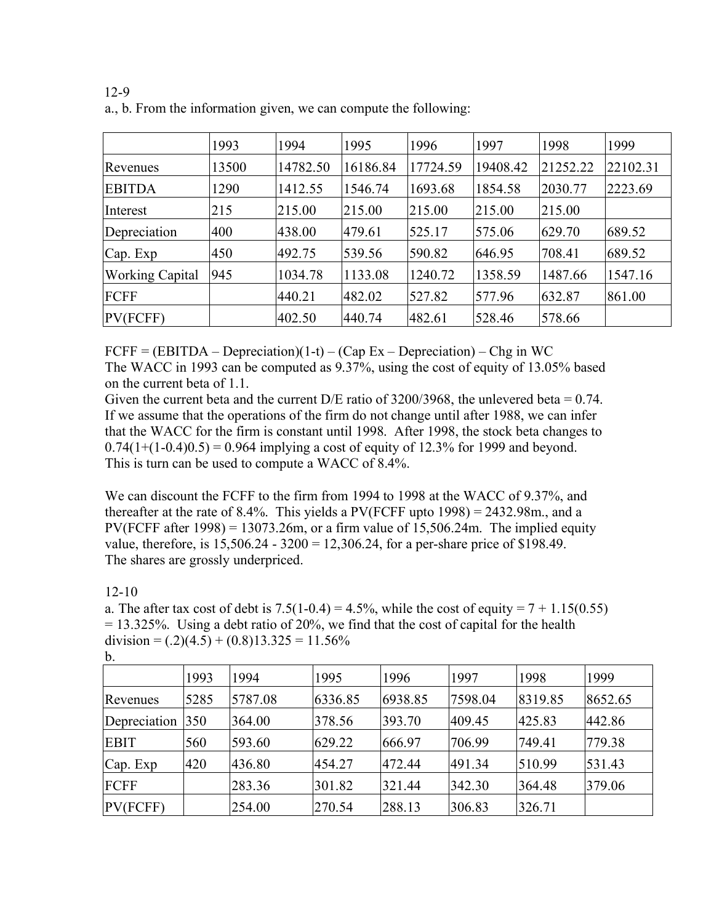|                        | 1993  | 1994     | 1995     | 1996     | 1997     | 1998     | 1999     |
|------------------------|-------|----------|----------|----------|----------|----------|----------|
| Revenues               | 13500 | 14782.50 | 16186.84 | 17724.59 | 19408.42 | 21252.22 | 22102.31 |
| <b>EBITDA</b>          | 1290  | 1412.55  | 1546.74  | 1693.68  | 1854.58  | 2030.77  | 2223.69  |
| Interest               | 215   | 215.00   | 215.00   | 215.00   | 215.00   | 215.00   |          |
| Depreciation           | 400   | 438.00   | 479.61   | 525.17   | 575.06   | 629.70   | 689.52   |
| Cap. Exp               | 450   | 492.75   | 539.56   | 590.82   | 646.95   | 708.41   | 689.52   |
| <b>Working Capital</b> | 945   | 1034.78  | 1133.08  | 1240.72  | 1358.59  | 1487.66  | 1547.16  |
| FCFF                   |       | 440.21   | 482.02   | 527.82   | 577.96   | 632.87   | 861.00   |
| PV(FCFF)               |       | 402.50   | 440.74   | 482.61   | 528.46   | 578.66   |          |

12-9 a., b. From the information given, we can compute the following:

 $FCFF = (EBITDA - Depreciation)(1-t) - (Cap Ex - Depreciation) - Chg in WC$ The WACC in 1993 can be computed as 9.37%, using the cost of equity of 13.05% based on the current beta of 1.1.

Given the current beta and the current D/E ratio of  $3200/3968$ , the unlevered beta = 0.74. If we assume that the operations of the firm do not change until after 1988, we can infer that the WACC for the firm is constant until 1998. After 1998, the stock beta changes to  $0.74(1+(1-0.4)0.5) = 0.964$  implying a cost of equity of 12.3% for 1999 and beyond. This is turn can be used to compute a WACC of 8.4%.

We can discount the FCFF to the firm from 1994 to 1998 at the WACC of 9.37%, and thereafter at the rate of 8.4%. This yields a  $PV(FCFF$  upto  $1998) = 2432.98$ m., and a PV(FCFF after 1998) = 13073.26m, or a firm value of 15,506.24m. The implied equity value, therefore, is 15,506.24 - 3200 = 12,306.24, for a per-share price of \$198.49. The shares are grossly underpriced.

12-10

a. The after tax cost of debt is  $7.5(1-0.4) = 4.5\%$ , while the cost of equity =  $7 + 1.15(0.55)$  $= 13.325\%$ . Using a debt ratio of 20%, we find that the cost of capital for the health division =  $(.2)(4.5) + (0.8)13.325 = 11.56\%$ 

|              | 1993 | 1994    | 1995    | 1996    | 1997    | 1998    | 1999    |
|--------------|------|---------|---------|---------|---------|---------|---------|
| Revenues     | 5285 | 5787.08 | 6336.85 | 6938.85 | 7598.04 | 8319.85 | 8652.65 |
| Depreciation | 350  | 364.00  | 378.56  | 393.70  | 409.45  | 425.83  | 442.86  |
| <b>EBIT</b>  | 560  | 593.60  | 629.22  | 666.97  | 706.99  | 749.41  | 779.38  |
| Cap. Exp     | 420  | 436.80  | 454.27  | 472.44  | 491.34  | 510.99  | 531.43  |
| FCFF         |      | 283.36  | 301.82  | 321.44  | 342.30  | 364.48  | 379.06  |
| PV(FCFF)     |      | 254.00  | 270.54  | 288.13  | 306.83  | 326.71  |         |

b.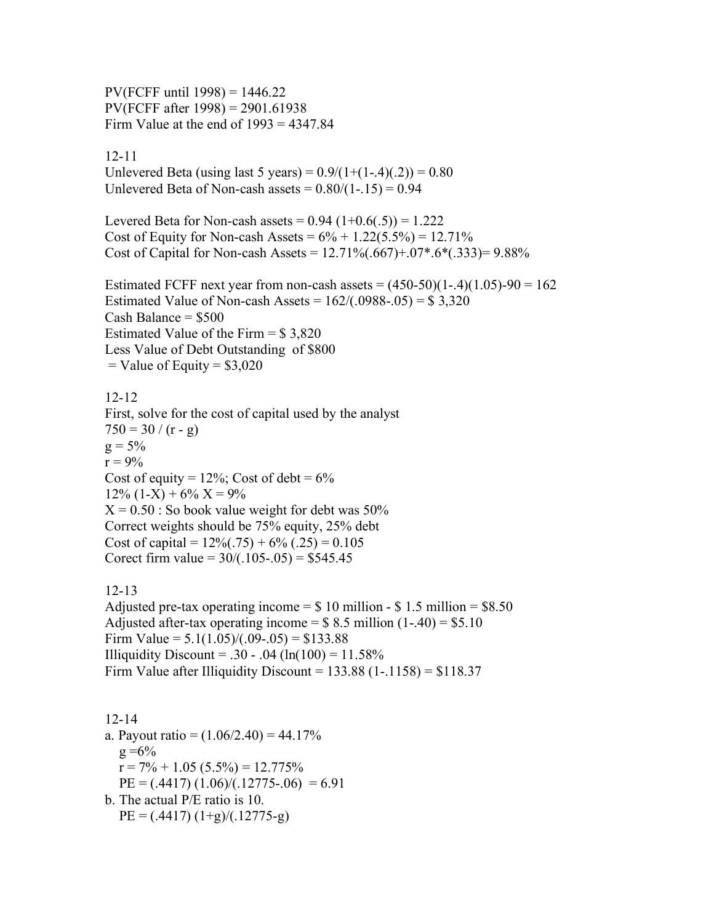$PV(FCFF until 1998) = 1446.22$ PV(FCFF after 1998) = 2901.61938 Firm Value at the end of  $1993 = 4347.84$ 

#### 12-11

Unlevered Beta (using last 5 years) =  $0.9/(1+(1-4)(.2)) = 0.80$ Unlevered Beta of Non-cash assets  $= 0.80/(1-.15) = 0.94$ 

Levered Beta for Non-cash assets =  $0.94$   $(1+0.6(.5)) = 1.222$ Cost of Equity for Non-cash Assets =  $6\% + 1.22(5.5\%) = 12.71\%$ Cost of Capital for Non-cash Assets =  $12.71\%(.667) + .07*.6*(.333) = 9.88\%$ 

Estimated FCFF next year from non-cash assets  $= (450-50)(1-4)(1.05)-90 = 162$ Estimated Value of Non-cash Assets =  $162/(.0988-.05) = $3,320$ Cash Balance  $= $500$ Estimated Value of the Firm  $= $3,820$ Less Value of Debt Outstanding of \$800  $=$  Value of Equity  $=$  \$3,020

12-12 First, solve for the cost of capital used by the analyst  $750 = 30 / (r - g)$  $g = 5\%$  $r = 9\%$ Cost of equity =  $12\%$ ; Cost of debt =  $6\%$  $12\%$  (1-X) + 6% X = 9%  $X = 0.50$ : So book value weight for debt was 50% Correct weights should be 75% equity, 25% debt Cost of capital =  $12\%(.75) + 6\%(.25) = 0.105$ Corect firm value =  $30/(0.105-0.05) = $545.45$ 

#### 12-13

Adjusted pre-tax operating income  $= $10$  million - \$1.5 million  $= $8.50$ Adjusted after-tax operating income =  $$ 8.5$  million (1-.40) = \$5.10 Firm Value =  $5.1(1.05)/(0.09-0.05) = $133.88$ Illiquidity Discount = .30 - .04 (ln(100) =  $11.58\%$ Firm Value after Illiquidity Discount =  $133.88$  (1-.1158) = \$118.37

12-14 a. Payout ratio =  $(1.06/2.40)$  = 44.17%  $g = 6\%$  $r = 7\% + 1.05$  (5.5%) = 12.775%  $PE = (0.4417)(1.06)/(0.12775-0.06) = 6.91$ b. The actual P/E ratio is 10.  $PE = (0.4417)(1+g)/(0.12775-g)$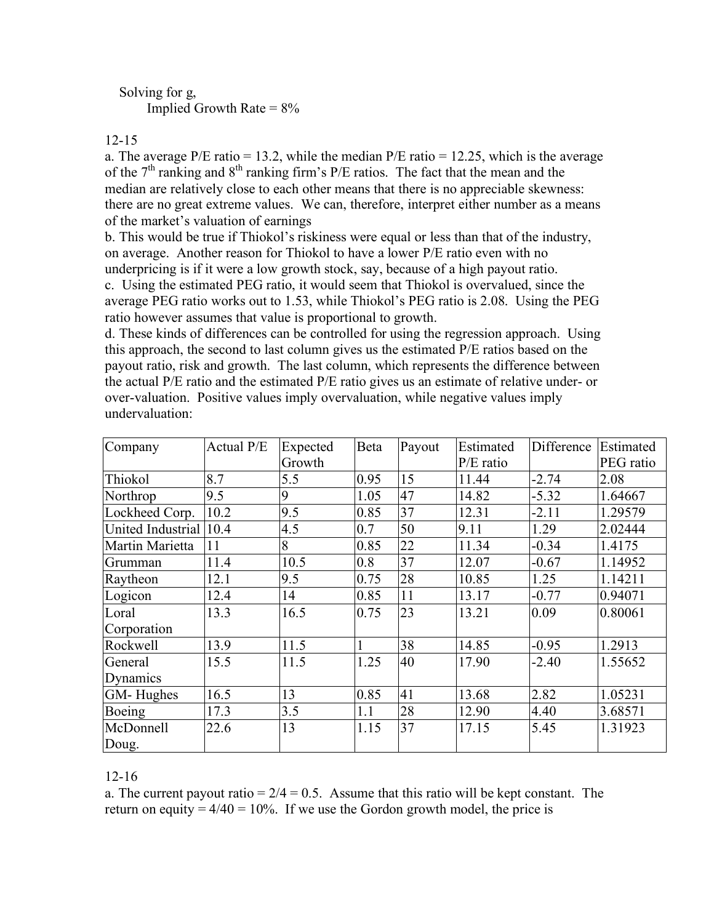# Solving for g, Implied Growth Rate  $= 8\%$

#### 12-15

a. The average  $P/E$  ratio = 13.2, while the median  $P/E$  ratio = 12.25, which is the average of the  $7<sup>th</sup>$  ranking and  $8<sup>th</sup>$  ranking firm's P/E ratios. The fact that the mean and the median are relatively close to each other means that there is no appreciable skewness: there are no great extreme values. We can, therefore, interpret either number as a means of the market's valuation of earnings

b. This would be true if Thiokol's riskiness were equal or less than that of the industry, on average. Another reason for Thiokol to have a lower P/E ratio even with no underpricing is if it were a low growth stock, say, because of a high payout ratio.

c. Using the estimated PEG ratio, it would seem that Thiokol is overvalued, since the average PEG ratio works out to 1.53, while Thiokol's PEG ratio is 2.08. Using the PEG ratio however assumes that value is proportional to growth.

d. These kinds of differences can be controlled for using the regression approach. Using this approach, the second to last column gives us the estimated P/E ratios based on the payout ratio, risk and growth. The last column, which represents the difference between the actual P/E ratio and the estimated P/E ratio gives us an estimate of relative under- or over-valuation. Positive values imply overvaluation, while negative values imply undervaluation:

| Company                | Actual P/E | Expected | Beta | Payout | Estimated   | Difference | Estimated |
|------------------------|------------|----------|------|--------|-------------|------------|-----------|
|                        |            | Growth   |      |        | $P/E$ ratio |            | PEG ratio |
| Thiokol                | 8.7        | 5.5      | 0.95 | 15     | 11.44       | $-2.74$    | 2.08      |
| Northrop               | 9.5        | 9        | 1.05 | 47     | 14.82       | $-5.32$    | 1.64667   |
| Lockheed Corp.         | 10.2       | 9.5      | 0.85 | 37     | 12.31       | $-2.11$    | 1.29579   |
| United Industrial 10.4 |            | 4.5      | 0.7  | 50     | 9.11        | 1.29       | 2.02444   |
| Martin Marietta        | 11         | 8        | 0.85 | 22     | 11.34       | $-0.34$    | 1.4175    |
| Grumman                | 11.4       | 10.5     | 0.8  | 37     | 12.07       | $-0.67$    | 1.14952   |
| Raytheon               | 12.1       | 9.5      | 0.75 | 28     | 10.85       | 1.25       | 1.14211   |
| Logicon                | 12.4       | 14       | 0.85 | 11     | 13.17       | $-0.77$    | 0.94071   |
| Loral                  | 13.3       | 16.5     | 0.75 | 23     | 13.21       | 0.09       | 0.80061   |
| Corporation            |            |          |      |        |             |            |           |
| Rockwell               | 13.9       | 11.5     |      | 38     | 14.85       | $-0.95$    | 1.2913    |
| General                | 15.5       | 11.5     | 1.25 | 40     | 17.90       | $-2.40$    | 1.55652   |
| Dynamics               |            |          |      |        |             |            |           |
| <b>GM-</b> Hughes      | 16.5       | 13       | 0.85 | 41     | 13.68       | 2.82       | 1.05231   |
| Boeing                 | 17.3       | 3.5      | 1.1  | 28     | 12.90       | 4.40       | 3.68571   |
| McDonnell              | 22.6       | 13       | 1.15 | 37     | 17.15       | 5.45       | 1.31923   |
| Doug.                  |            |          |      |        |             |            |           |

#### 12-16

a. The current payout ratio =  $2/4 = 0.5$ . Assume that this ratio will be kept constant. The return on equity  $= 4/40 = 10\%$ . If we use the Gordon growth model, the price is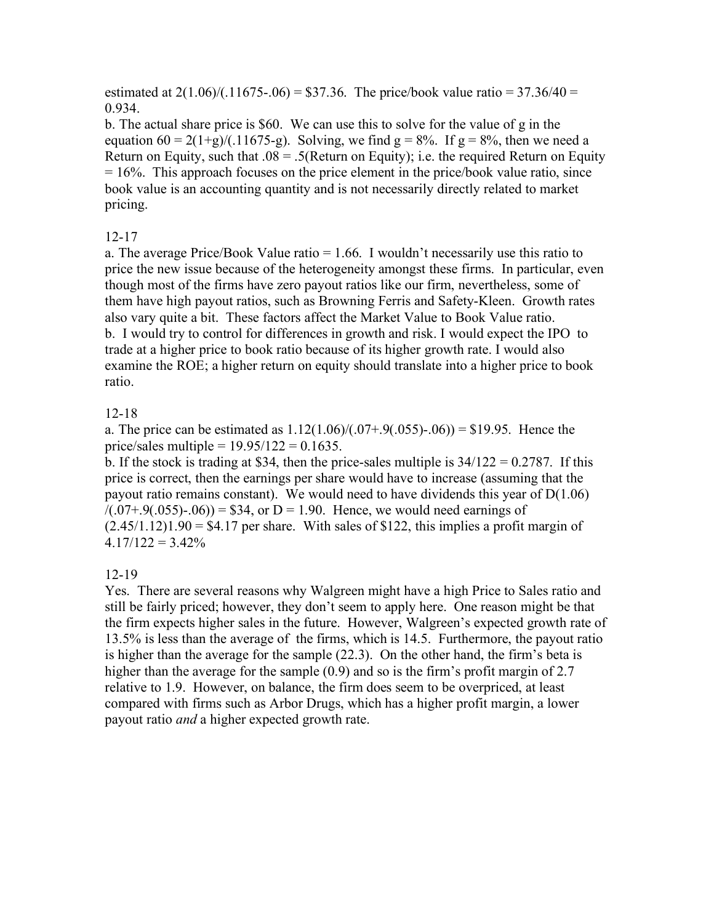estimated at  $2(1.06)/(11675-06) = $37.36$ . The price/book value ratio = 37.36/40 = 0.934.

b. The actual share price is \$60. We can use this to solve for the value of g in the equation  $60 = 2(1+g)/(0.11675-g)$ . Solving, we find  $g = 8\%$ . If  $g = 8\%$ , then we need a Return on Equity, such that  $.08 = .5$ (Return on Equity); i.e. the required Return on Equity  $= 16\%$ . This approach focuses on the price element in the price/book value ratio, since book value is an accounting quantity and is not necessarily directly related to market pricing.

# 12-17

a. The average Price/Book Value ratio  $= 1.66$ . I wouldn't necessarily use this ratio to price the new issue because of the heterogeneity amongst these firms. In particular, even though most of the firms have zero payout ratios like our firm, nevertheless, some of them have high payout ratios, such as Browning Ferris and Safety-Kleen. Growth rates also vary quite a bit. These factors affect the Market Value to Book Value ratio. b. I would try to control for differences in growth and risk. I would expect the IPO to trade at a higher price to book ratio because of its higher growth rate. I would also examine the ROE; a higher return on equity should translate into a higher price to book ratio.

# 12-18

a. The price can be estimated as  $1.12(1.06)/(0.07+.9(.055)-.06) = $19.95$ . Hence the price/sales multiple =  $19.95/122 = 0.1635$ .

b. If the stock is trading at \$34, then the price-sales multiple is  $34/122 = 0.2787$ . If this price is correct, then the earnings per share would have to increase (assuming that the payout ratio remains constant). We would need to have dividends this year of D(1.06)  $/(0.07+.9(.055)-.06)$  = \$34, or D = 1.90. Hence, we would need earnings of  $(2.45/1.12)1.90 = $4.17$  per share. With sales of \$122, this implies a profit margin of  $4.17/122 = 3.42\%$ 

# 12-19

Yes. There are several reasons why Walgreen might have a high Price to Sales ratio and still be fairly priced; however, they don't seem to apply here. One reason might be that the firm expects higher sales in the future. However, Walgreen's expected growth rate of 13.5% is less than the average of the firms, which is 14.5. Furthermore, the payout ratio is higher than the average for the sample (22.3). On the other hand, the firm's beta is higher than the average for the sample (0.9) and so is the firm's profit margin of 2.7 relative to 1.9. However, on balance, the firm does seem to be overpriced, at least compared with firms such as Arbor Drugs, which has a higher profit margin, a lower payout ratio *and* a higher expected growth rate.